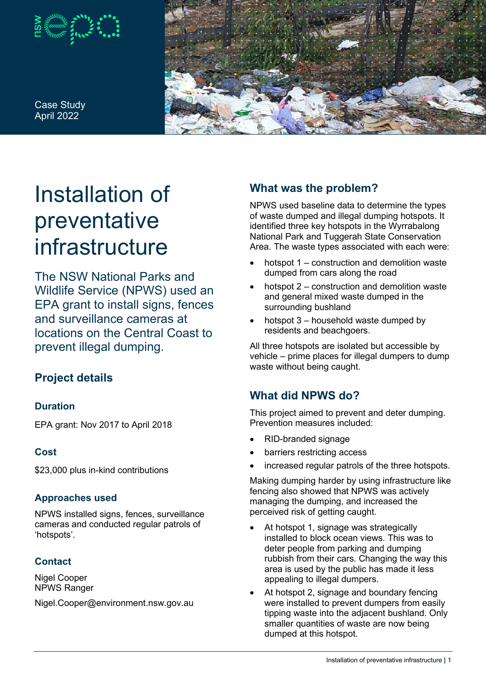

Case Study April 2022



# Installation of preventative infrastructure

The NSW National Parks and Wildlife Service (NPWS) used an EPA grant to install signs, fences and surveillance cameras at locations on the Central Coast to prevent illegal dumping.

# **Project details**

## **Duration**

EPA grant: Nov 2017 to April 2018

## **Cost**

\$23,000 plus in-kind contributions

#### **Approaches used**

NPWS installed signs, fences, surveillance cameras and conducted regular patrols of 'hotspots'.

## **Contact**

Nigel Cooper NPWS Ranger

Nigel.Cooper@environment.nsw.gov.au

# **What was the problem?**

NPWS used baseline data to determine the types of waste dumped and illegal dumping hotspots. It identified three key hotspots in the Wyrrabalong National Park and Tuggerah State Conservation Area. The waste types associated with each were:

- hotspot 1 construction and demolition waste dumped from cars along the road
- hotspot 2 construction and demolition waste and general mixed waste dumped in the surrounding bushland
- hotspot 3 household waste dumped by residents and beachgoers.

All three hotspots are isolated but accessible by vehicle – prime places for illegal dumpers to dump waste without being caught.

# **What did NPWS do?**

This project aimed to prevent and deter dumping. Prevention measures included:

- RID-branded signage
- barriers restricting access
- increased regular patrols of the three hotspots.

Making dumping harder by using infrastructure like fencing also showed that NPWS was actively managing the dumping, and increased the perceived risk of getting caught.

- At hotspot 1, signage was strategically installed to block ocean views. This was to deter people from parking and dumping rubbish from their cars. Changing the way this area is used by the public has made it less appealing to illegal dumpers.
- At hotspot 2, signage and boundary fencing were installed to prevent dumpers from easily tipping waste into the adjacent bushland. Only smaller quantities of waste are now being dumped at this hotspot.